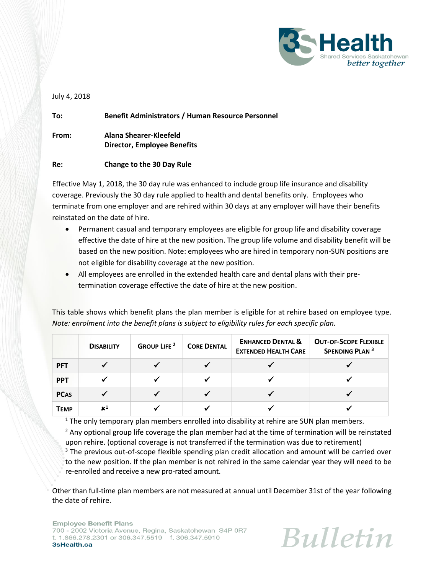

July 4, 2018

**To: Benefit Administrators / Human Resource Personnel From: Alana Shearer-Kleefeld Director, Employee Benefits Re: Change to the 30 Day Rule**

Effective May 1, 2018, the 30 day rule was enhanced to include group life insurance and disability coverage. Previously the 30 day rule applied to health and dental benefits only. Employees who terminate from one employer and are rehired within 30 days at any employer will have their benefits reinstated on the date of hire.

- Permanent casual and temporary employees are eligible for group life and disability coverage effective the date of hire at the new position. The group life volume and disability benefit will be based on the new position. Note: employees who are hired in temporary non-SUN positions are not eligible for disability coverage at the new position.
- All employees are enrolled in the extended health care and dental plans with their pretermination coverage effective the date of hire at the new position.

This table shows which benefit plans the plan member is eligible for at rehire based on employee type. *Note: enrolment into the benefit plans is subject to eligibility rules for each specific plan.* 

|             | <b>DISABILITY</b> | <b>GROUP LIFE</b> <sup>2</sup> | <b>CORE DENTAL</b> | <b>ENHANCED DENTAL &amp;</b><br><b>EXTENDED HEALTH CARE</b> | <b>OUT-OF-SCOPE FLEXIBLE</b><br>SPENDING PLAN <sup>3</sup> |
|-------------|-------------------|--------------------------------|--------------------|-------------------------------------------------------------|------------------------------------------------------------|
| <b>PFT</b>  |                   |                                |                    |                                                             |                                                            |
| <b>PPT</b>  |                   |                                |                    |                                                             |                                                            |
| <b>PCAS</b> |                   |                                |                    |                                                             |                                                            |
| <b>TEMP</b> | $\mathbf{x}^1$    |                                |                    |                                                             |                                                            |

 $<sup>1</sup>$  The only temporary plan members enrolled into disability at rehire are SUN plan members.</sup>

 $<sup>2</sup>$  Any optional group life coverage the plan member had at the time of termination will be reinstated</sup> upon rehire. (optional coverage is not transferred if the termination was due to retirement)

<sup>3</sup> The previous out-of-scope flexible spending plan credit allocation and amount will be carried over to the new position. If the plan member is not rehired in the same calendar year they will need to be re-enrolled and receive a new pro-rated amount.

Other than full-time plan members are not measured at annual until December 31st of the year following the date of rehire.